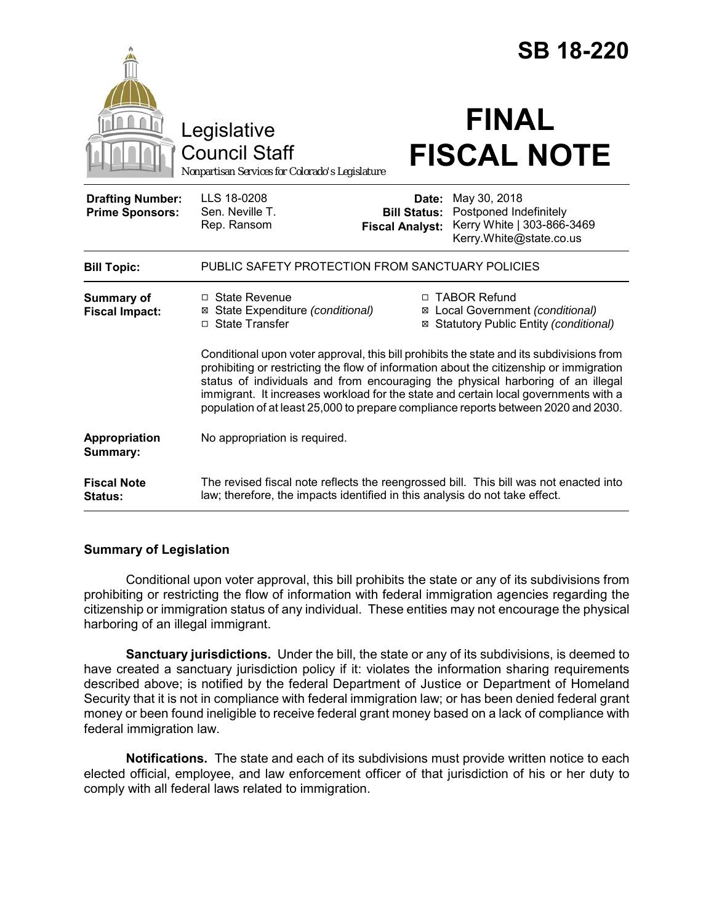|                                                   | Legislative                                                                                                                                                                                                                                                                                                                                                                                                                                         |                                                        | <b>SB 18-220</b><br><b>FINAL</b>                                                                |
|---------------------------------------------------|-----------------------------------------------------------------------------------------------------------------------------------------------------------------------------------------------------------------------------------------------------------------------------------------------------------------------------------------------------------------------------------------------------------------------------------------------------|--------------------------------------------------------|-------------------------------------------------------------------------------------------------|
|                                                   | <b>Council Staff</b><br>Nonpartisan Services for Colorado's Legislature                                                                                                                                                                                                                                                                                                                                                                             |                                                        | <b>FISCAL NOTE</b>                                                                              |
| <b>Drafting Number:</b><br><b>Prime Sponsors:</b> | LLS 18-0208<br>Sen. Neville T.<br>Rep. Ransom                                                                                                                                                                                                                                                                                                                                                                                                       | Date:<br><b>Bill Status:</b><br><b>Fiscal Analyst:</b> | May 30, 2018<br>Postponed Indefinitely<br>Kerry White   303-866-3469<br>Kerry.White@state.co.us |
| <b>Bill Topic:</b>                                | PUBLIC SAFETY PROTECTION FROM SANCTUARY POLICIES                                                                                                                                                                                                                                                                                                                                                                                                    |                                                        |                                                                                                 |
| <b>Summary of</b><br><b>Fiscal Impact:</b>        | $\Box$ State Revenue<br>State Expenditure (conditional)<br>⊠<br>□ State Transfer                                                                                                                                                                                                                                                                                                                                                                    | ⊠                                                      | □ TABOR Refund<br>Local Government (conditional)<br>⊠ Statutory Public Entity (conditional)     |
|                                                   | Conditional upon voter approval, this bill prohibits the state and its subdivisions from<br>prohibiting or restricting the flow of information about the citizenship or immigration<br>status of individuals and from encouraging the physical harboring of an illegal<br>immigrant. It increases workload for the state and certain local governments with a<br>population of at least 25,000 to prepare compliance reports between 2020 and 2030. |                                                        |                                                                                                 |
| Appropriation<br>Summary:                         | No appropriation is required.                                                                                                                                                                                                                                                                                                                                                                                                                       |                                                        |                                                                                                 |
| <b>Fiscal Note</b><br>Status:                     | The revised fiscal note reflects the reengrossed bill. This bill was not enacted into<br>law; therefore, the impacts identified in this analysis do not take effect.                                                                                                                                                                                                                                                                                |                                                        |                                                                                                 |

### **Summary of Legislation**

Conditional upon voter approval, this bill prohibits the state or any of its subdivisions from prohibiting or restricting the flow of information with federal immigration agencies regarding the citizenship or immigration status of any individual. These entities may not encourage the physical harboring of an illegal immigrant.

**Sanctuary jurisdictions.** Under the bill, the state or any of its subdivisions, is deemed to have created a sanctuary jurisdiction policy if it: violates the information sharing requirements described above; is notified by the federal Department of Justice or Department of Homeland Security that it is not in compliance with federal immigration law; or has been denied federal grant money or been found ineligible to receive federal grant money based on a lack of compliance with federal immigration law.

**Notifications.** The state and each of its subdivisions must provide written notice to each elected official, employee, and law enforcement officer of that jurisdiction of his or her duty to comply with all federal laws related to immigration.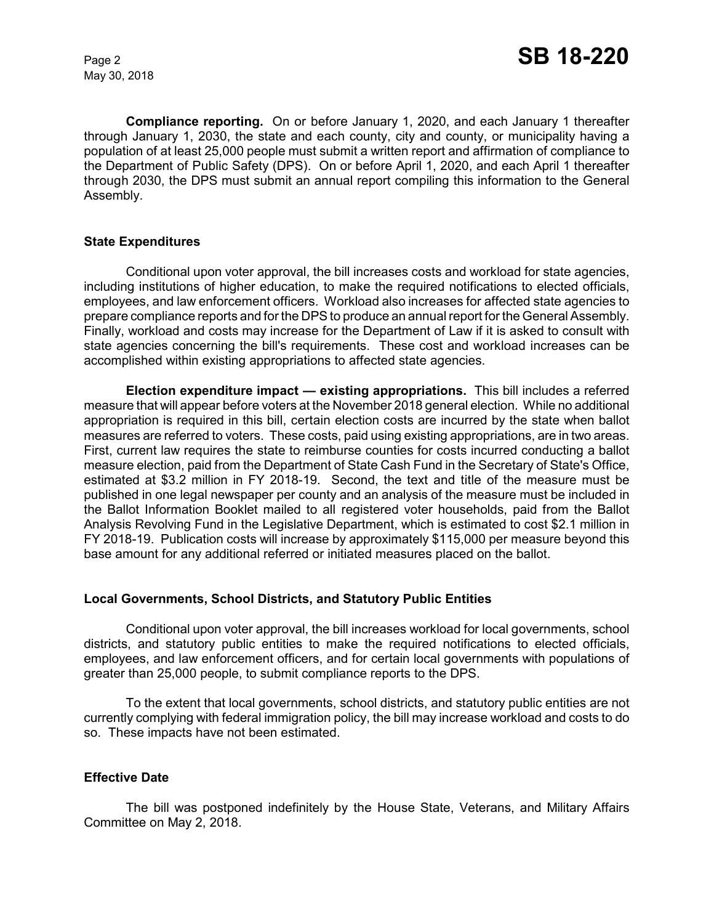May 30, 2018

**Compliance reporting.** On or before January 1, 2020, and each January 1 thereafter through January 1, 2030, the state and each county, city and county, or municipality having a population of at least 25,000 people must submit a written report and affirmation of compliance to the Department of Public Safety (DPS). On or before April 1, 2020, and each April 1 thereafter through 2030, the DPS must submit an annual report compiling this information to the General Assembly.

# **State Expenditures**

Conditional upon voter approval, the bill increases costs and workload for state agencies, including institutions of higher education, to make the required notifications to elected officials, employees, and law enforcement officers. Workload also increases for affected state agencies to prepare compliance reports and for the DPS to produce an annual report for the General Assembly. Finally, workload and costs may increase for the Department of Law if it is asked to consult with state agencies concerning the bill's requirements. These cost and workload increases can be accomplished within existing appropriations to affected state agencies.

**Election expenditure impact — existing appropriations.** This bill includes a referred measure that will appear before voters at the November 2018 general election. While no additional appropriation is required in this bill, certain election costs are incurred by the state when ballot measures are referred to voters. These costs, paid using existing appropriations, are in two areas. First, current law requires the state to reimburse counties for costs incurred conducting a ballot measure election, paid from the Department of State Cash Fund in the Secretary of State's Office, estimated at \$3.2 million in FY 2018-19. Second, the text and title of the measure must be published in one legal newspaper per county and an analysis of the measure must be included in the Ballot Information Booklet mailed to all registered voter households, paid from the Ballot Analysis Revolving Fund in the Legislative Department, which is estimated to cost \$2.1 million in FY 2018-19. Publication costs will increase by approximately \$115,000 per measure beyond this base amount for any additional referred or initiated measures placed on the ballot.

#### **Local Governments, School Districts, and Statutory Public Entities**

Conditional upon voter approval, the bill increases workload for local governments, school districts, and statutory public entities to make the required notifications to elected officials, employees, and law enforcement officers, and for certain local governments with populations of greater than 25,000 people, to submit compliance reports to the DPS.

To the extent that local governments, school districts, and statutory public entities are not currently complying with federal immigration policy, the bill may increase workload and costs to do so. These impacts have not been estimated.

#### **Effective Date**

The bill was postponed indefinitely by the House State, Veterans, and Military Affairs Committee on May 2, 2018.